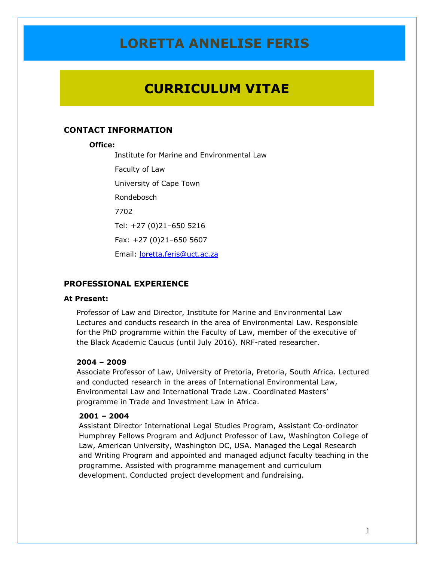## **CURRICULUM VITAE**

## **CONTACT INFORMATION**

#### **Office:**

Institute for Marine and Environmental Law Faculty of Law University of Cape Town

Rondebosch

7702

Tel: +27 (0)21–650 5216

Fax: +27 (0)21–650 5607

Email: [loretta.feris@uct.ac.za](mailto:loretta.feris@uct.ac.za)

### **PROFESSIONAL EXPERIENCE**

#### **At Present:**

Professor of Law and Director, Institute for Marine and Environmental Law Lectures and conducts research in the area of Environmental Law. Responsible for the PhD programme within the Faculty of Law, member of the executive of the Black Academic Caucus (until July 2016). NRF-rated researcher.

#### **2004 – 2009**

Associate Professor of Law, University of Pretoria, Pretoria, South Africa. Lectured and conducted research in the areas of International Environmental Law, Environmental Law and International Trade Law. Coordinated Masters' programme in Trade and Investment Law in Africa.

#### **2001 – 2004**

Assistant Director International Legal Studies Program, Assistant Co-ordinator Humphrey Fellows Program and Adjunct Professor of Law, Washington College of Law, American University, Washington DC, USA. Managed the Legal Research and Writing Program and appointed and managed adjunct faculty teaching in the programme. Assisted with programme management and curriculum development. Conducted project development and fundraising.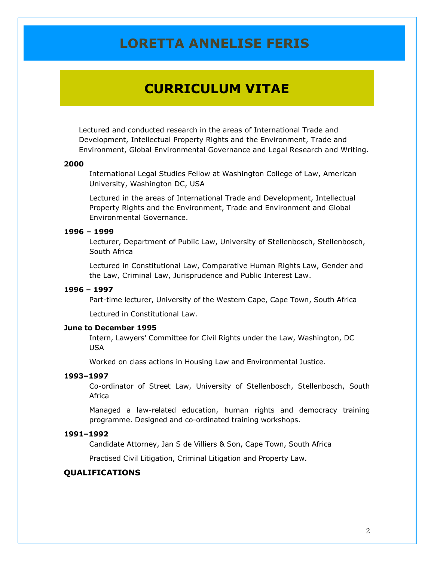## **CURRICULUM VITAE**

Lectured and conducted research in the areas of International Trade and Development, Intellectual Property Rights and the Environment, Trade and Environment, Global Environmental Governance and Legal Research and Writing.

#### **2000**

International Legal Studies Fellow at Washington College of Law, American University, Washington DC, USA

Lectured in the areas of International Trade and Development, Intellectual Property Rights and the Environment, Trade and Environment and Global Environmental Governance.

## **1996 – 1999**

Lecturer, Department of Public Law, University of Stellenbosch, Stellenbosch, South Africa

Lectured in Constitutional Law, Comparative Human Rights Law, Gender and the Law, Criminal Law, Jurisprudence and Public Interest Law.

### **1996 – 1997**

Part-time lecturer, University of the Western Cape, Cape Town, South Africa

Lectured in Constitutional Law.

### **June to December 1995**

Intern, Lawyers' Committee for Civil Rights under the Law, Washington, DC USA

Worked on class actions in Housing Law and Environmental Justice.

#### **1993–1997**

Co-ordinator of Street Law, University of Stellenbosch, Stellenbosch, South **Africa** 

Managed a law-related education, human rights and democracy training programme. Designed and co-ordinated training workshops.

### **1991–1992**

Candidate Attorney, Jan S de Villiers & Son, Cape Town, South Africa

Practised Civil Litigation, Criminal Litigation and Property Law.

### **QUALIFICATIONS**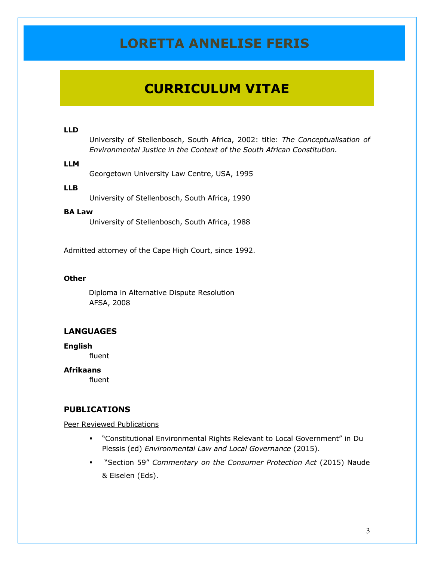# **CURRICULUM VITAE**

#### **LLD**

University of Stellenbosch, South Africa, 2002: title: *The Conceptualisation of Environmental Justice in the Context of the South African Constitution.*

### **LLM**

Georgetown University Law Centre, USA, 1995

### **LLB**

University of Stellenbosch, South Africa, 1990

#### **BA Law**

University of Stellenbosch, South Africa, 1988

Admitted attorney of the Cape High Court, since 1992.

#### **Other**

Diploma in Alternative Dispute Resolution AFSA, 2008

## **LANGUAGES**

#### **English**

fluent

### **Afrikaans**

fluent

## **PUBLICATIONS**

#### Peer Reviewed Publications

- "Constitutional Environmental Rights Relevant to Local Government" in Du Plessis (ed) *Environmental Law and Local Governance* (2015).
- "Section 59" *Commentary on the Consumer Protection Act* (2015) Naude & Eiselen (Eds).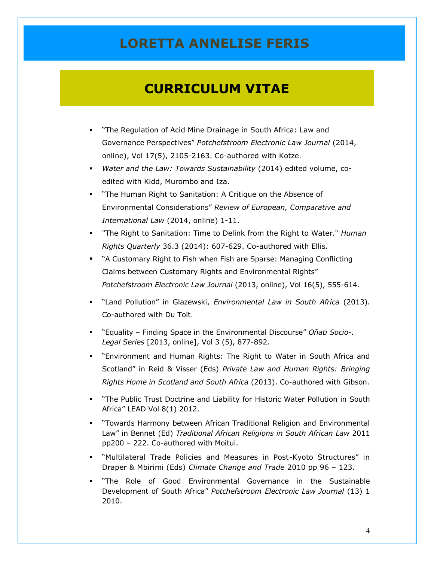- "The Regulation of Acid Mine Drainage in South Africa: Law and Governance Perspectives" *Potchefstroom Electronic Law Journal* (2014, online), Vol 17(5), 2105-2163. Co-authored with Kotze.
- *Water and the Law: Towards Sustainability* (2014) edited volume, coedited with Kidd, Murombo and Iza.
- "The Human Right to Sanitation: A Critique on the Absence of Environmental Considerations" *Review of European, Comparative and International Law* (2014, online) 1-11.
- "The Right to Sanitation: Time to Delink from the Right to Water." *Human Rights Quarterly* 36.3 (2014): 607-629. Co-authored with Ellis.
- "[A Customary Right to Fish when Fish are Sparse: Managing Conflicting](http://www.nwu.ac.za/sites/www.nwu.ac.za/files/files/p-per/issuepages/2013volume16no5/2013%2816%295FerisART%5B1%5D.pdf)  [Claims between Customary Rights and Environmental Rights](http://www.nwu.ac.za/sites/www.nwu.ac.za/files/files/p-per/issuepages/2013volume16no5/2013%2816%295FerisART%5B1%5D.pdf)" *Potchefstroom Electronic Law Journal* (2013, online), Vol 16(5), 555-614.
- "Land Pollution" in Glazewski, *Environmental Law in South Africa* (2013). Co-authored with Du Toit.
- "Equality Finding Space in the Environmental Discourse" *Oñati Socio-. Legal Series* [2013, online], Vol 3 (5), 877-892.
- "Environment and Human Rights: The Right to Water in South Africa and Scotland" in Reid & Visser (Eds) *Private Law and Human Rights: Bringing Rights Home in Scotland and South Africa* (2013). Co-authored with Gibson.
- "The Public Trust Doctrine and Liability for Historic Water Pollution in South Africa" LEAD Vol 8(1) 2012.
- "Towards Harmony between African Traditional Religion and Environmental Law" in Bennet (Ed) *Traditional African Religions in South African Law* 2011 pp200 – 222. Co-authored with Moitui.
- "Multilateral Trade Policies and Measures in Post-Kyoto Structures" in Draper & Mbirimi (Eds) *Climate Change and Trade* 2010 pp 96 – 123.
- "The Role of Good Environmental Governance in the Sustainable Development of South Africa" *Potchefstroom Electronic Law Journal* (13) 1 2010.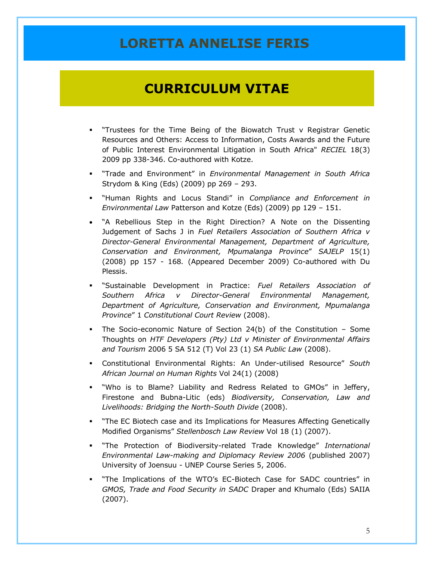- "Trustees for the Time Being of the Biowatch Trust v Registrar Genetic Resources and Others: Access to Information, Costs Awards and the Future of Public Interest Environmental Litigation in South Africa" *RECIEL* 18(3) 2009 pp 338-346. Co-authored with Kotze.
- "Trade and Environment" in *Environmental Management in South Africa* Strydom & King (Eds) (2009) pp 269 – 293.
- "Human Rights and Locus Standi" in *Compliance and Enforcement in Environmental Law* Patterson and Kotze (Eds) (2009) pp 129 – 151.
- "A Rebellious Step in the Right Direction? A Note on the Dissenting Judgement of Sachs J in *Fuel Retailers Association of Southern Africa v Director-General Environmental Management, Department of Agriculture, Conservation and Environment, Mpumalanga Province*" *SAJELP* 15(1) (2008) pp 157 - 168*.* (Appeared December 2009) Co-authored with Du Plessis.
- "Sustainable Development in Practice: *Fuel Retailers Association of Southern Africa v Director-General Environmental Management, Department of Agriculture, Conservation and Environment, Mpumalanga Province*" 1 *Constitutional Court Review* (2008).
- The Socio-economic Nature of Section 24(b) of the Constitution Some Thoughts on *HTF Developers (Pty) Ltd v Minister of Environmental Affairs and Tourism* 2006 5 SA 512 (T) Vol 23 (1) *SA Public Law* (2008).
- Constitutional Environmental Rights: An Under-utilised Resource" *South African Journal on Human Rights* Vol 24(1) (2008)
- "Who is to Blame? Liability and Redress Related to GMOs" in Jeffery, Firestone and Bubna-Litic (eds) *Biodiversity, Conservation, Law and Livelihoods: Bridging the North-South Divide* (2008).
- "The EC Biotech case and its Implications for Measures Affecting Genetically Modified Organisms" *Stellenbosch Law Review* Vol 18 (1) (2007).
- "The Protection of Biodiversity-related Trade Knowledge" *International Environmental Law-making and Diplomacy Review 2006* (published 2007) University of Joensuu - UNEP Course Series 5, 2006.
- "The Implications of the WTO's EC-Biotech Case for SADC countries" in *GMOS, Trade and Food Security in SADC* Draper and Khumalo (Eds) SAIIA (2007).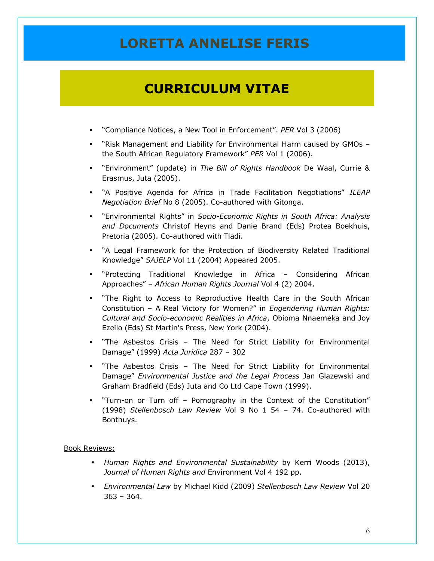## **CURRICULUM VITAE**

- "Compliance Notices, a New Tool in Enforcement". *PER* Vol 3 (2006)
- "Risk Management and Liability for Environmental Harm caused by GMOs the South African Regulatory Framework" *PER* Vol 1 (2006).
- "Environment" (update) in *The Bill of Rights Handbook* De Waal, Currie & Erasmus, Juta (2005).
- "A Positive Agenda for Africa in Trade Facilitation Negotiations" *ILEAP Negotiation Brief* No 8 (2005). Co-authored with Gitonga.
- "Environmental Rights" in *Socio-Economic Rights in South Africa: Analysis and Documents* Christof Heyns and Danie Brand (Eds) Protea Boekhuis, Pretoria (2005). Co-authored with Tladi.
- "A Legal Framework for the Protection of Biodiversity Related Traditional Knowledge" *SAJELP* Vol 11 (2004) Appeared 2005.
- "Protecting Traditional Knowledge in Africa Considering African Approaches" – *African Human Rights Journal* Vol 4 (2) 2004.
- "The Right to Access to Reproductive Health Care in the South African Constitution – A Real Victory for Women?" in *Engendering Human Rights: Cultural and Socio-economic Realities in Africa*, Obioma Nnaemeka and Joy Ezeilo (Eds) St Martin's Press, New York (2004).
- "The Asbestos Crisis The Need for Strict Liability for Environmental Damage" (1999) *Acta Juridica* 287 – 302
- "The Asbestos Crisis The Need for Strict Liability for Environmental Damage" *Environmental Justice and the Legal Process* Jan Glazewski and Graham Bradfield (Eds) Juta and Co Ltd Cape Town (1999).
- "Turn-on or Turn off Pornography in the Context of the Constitution" (1998) *Stellenbosch Law Review* Vol 9 No 1 54 – 74. Co-authored with Bonthuys.

#### Book Reviews:

- *Human Rights and Environmental Sustainability* by Kerri Woods (2013), *Journal of Human Rights and* Environment Vol 4 192 pp.
- *Environmental Law* by Michael Kidd (2009) *Stellenbosch Law Review* Vol 20  $363 - 364.$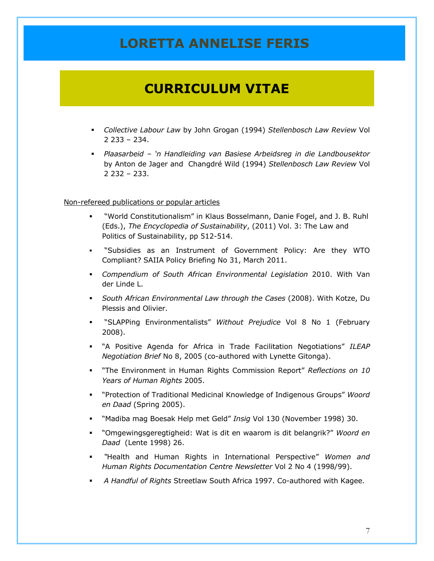# **CURRICULUM VITAE**

- *Collective Labour Law* by John Grogan (1994) *Stellenbosch Law Review* Vol 2 233 – 234.
- *Plaasarbeid – 'n Handleiding van Basiese Arbeidsreg in die Landbousektor* by Anton de Jager and Changdré Wild (1994) *Stellenbosch Law Review* Vol 2 232 – 233.

#### Non-refereed publications or popular articles

- "World Constitutionalism" in Klaus Bosselmann, Danie Fogel, and J. B. Ruhl (Eds.), *The Encyclopedia of Sustainability*, (2011) Vol. 3: The Law and Politics of Sustainability, pp 512-514.
- "Subsidies as an Instrument of Government Policy: Are they WTO Compliant? SAIIA Policy Briefing No 31, March 2011.
- *Compendium of South African Environmental Legislation* 2010. With Van der Linde L.
- *South African Environmental Law through the Cases* (2008). With Kotze, Du Plessis and Olivier.
- "SLAPPing Environmentalists" *Without Prejudice* Vol 8 No 1 (February 2008).
- "A Positive Agenda for Africa in Trade Facilitation Negotiations" *ILEAP Negotiation Brief* No 8, 2005 (co-authored with Lynette Gitonga).
- "The Environment in Human Rights Commission Report" *Reflections on 10 Years of Human Rights* 2005.
- "Protection of Traditional Medicinal Knowledge of Indigenous Groups" *Woord en Daad* (Spring 2005).
- "Madiba mag Boesak Help met Geld" *Insig* Vol 130 (November 1998) 30.
- "Omgewingsgeregtigheid: Wat is dit en waarom is dit belangrik?" *Woord en Daad* (Lente 1998) 26.
- *"*Health and Human Rights in International Perspective" *Women and Human Rights Documentation Centre Newsletter* Vol 2 No 4 (1998/99).
- *A Handful of Rights* Streetlaw South Africa 1997. Co-authored with Kagee.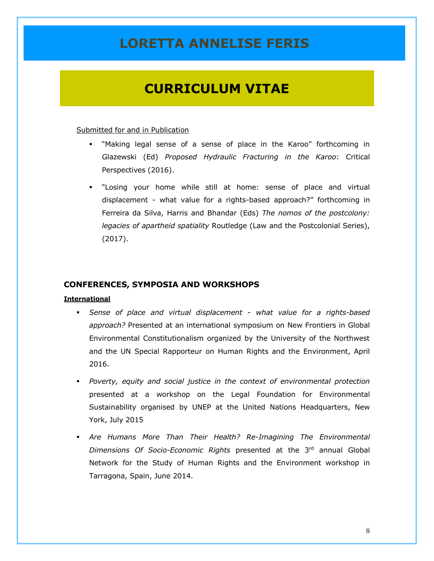## **CURRICULUM VITAE**

#### Submitted for and in Publication

- "Making legal sense of a sense of place in the Karoo" forthcoming in Glazewski (Ed) *Proposed Hydraulic Fracturing in the Karoo*: Critical Perspectives (2016).
- "Losing your home while still at home: sense of place and virtual displacement - what value for a rights-based approach?" forthcoming in Ferreira da Silva, Harris and Bhandar (Eds) *The nomos of the postcolony: legacies of apartheid spatiality* Routledge (Law and the Postcolonial Series), (2017).

### **CONFERENCES, SYMPOSIA AND WORKSHOPS**

#### **International**

- *Sense of place and virtual displacement - what value for a rights-based approach?* Presented at an international symposium on New Frontiers in Global Environmental Constitutionalism organized by the University of the Northwest and the UN Special Rapporteur on Human Rights and the Environment, April 2016.
- *Poverty, equity and social justice in the context of environmental protection*  presented at a workshop on the Legal Foundation for Environmental Sustainability organised by UNEP at the United Nations Headquarters, New York, July 2015
- *Are Humans More Than Their Health? Re-Imagining The Environmental Dimensions Of Socio-Economic Rights* presented at the 3rd annual Global Network for the Study of Human Rights and the Environment workshop in Tarragona, Spain, June 2014.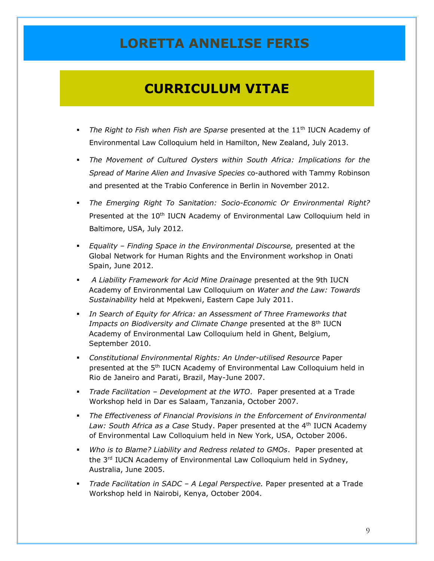- **The Right to Fish when Fish are Sparse presented at the 11<sup>th</sup> IUCN Academy of** Environmental Law Colloquium held in Hamilton, New Zealand, July 2013.
- *The Movement of Cultured Oysters within South Africa: Implications for the Spread of Marine Alien and Invasive Species* co-authored with Tammy Robinson and presented at the Trabio Conference in Berlin in November 2012.
- *The Emerging Right To Sanitation: Socio-Economic Or Environmental Right?* Presented at the  $10<sup>th</sup>$  IUCN Academy of Environmental Law Colloquium held in Baltimore, USA, July 2012.
- *Equality – Finding Space in the Environmental Discourse,* presented at the Global Network for Human Rights and the Environment workshop in Onati Spain, June 2012.
- *A Liability Framework for Acid Mine Drainage* presented at the 9th IUCN Academy of Environmental Law Colloquium on *Water and the Law: Towards Sustainability* held at Mpekweni, Eastern Cape July 2011.
- *In Search of Equity for Africa: an Assessment of Three Frameworks that*  Impacts on Biodiversity and Climate Change presented at the 8<sup>th</sup> IUCN Academy of Environmental Law Colloquium held in Ghent, Belgium, September 2010.
- *Constitutional Environmental Rights: An Under-utilised Resource* Paper presented at the 5<sup>th</sup> IUCN Academy of Environmental Law Colloquium held in Rio de Janeiro and Parati, Brazil, May-June 2007.
- *Trade Facilitation – Development at the WTO*. Paper presented at a Trade Workshop held in Dar es Salaam, Tanzania, October 2007.
- *The Effectiveness of Financial Provisions in the Enforcement of Environmental*  Law: South Africa as a Case Study. Paper presented at the 4<sup>th</sup> IUCN Academy of Environmental Law Colloquium held in New York, USA, October 2006.
- *Who is to Blame? Liability and Redress related to GMOs*.Paper presented at the 3<sup>rd</sup> IUCN Academy of Environmental Law Colloquium held in Sydney, Australia, June 2005.
- *Trade Facilitation in SADC – A Legal Perspective.* Paper presented at a Trade Workshop held in Nairobi, Kenya, October 2004.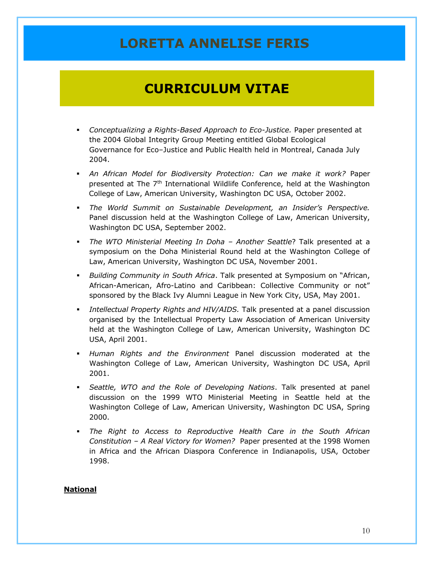# **CURRICULUM VITAE**

- *Conceptualizing a Rights-Based Approach to Eco-Justice.* Paper presented at the 2004 Global Integrity Group Meeting entitled Global Ecological Governance for Eco–Justice and Public Health held in Montreal, Canada July 2004.
- *An African Model for Biodiversity Protection: Can we make it work?* Paper presented at The  $7<sup>th</sup>$  International Wildlife Conference, held at the Washington College of Law, American University, Washington DC USA, October 2002.
- *The World Summit on Sustainable Development, an Insider's Perspective.*  Panel discussion held at the Washington College of Law, American University, Washington DC USA, September 2002.
- *The WTO Ministerial Meeting In Doha – Another Seattle*? Talk presented at a symposium on the Doha Ministerial Round held at the Washington College of Law, American University, Washington DC USA, November 2001.
- *Building Community in South Africa*. Talk presented at Symposium on "African, African-American, Afro-Latino and Caribbean: Collective Community or not" sponsored by the Black Ivy Alumni League in New York City, USA, May 2001.
- *Intellectual Property Rights and HIV/AIDS.* Talk presented at a panel discussion organised by the Intellectual Property Law Association of American University held at the Washington College of Law, American University, Washington DC USA, April 2001.
- *Human Rights and the Environment* Panel discussion moderated at the Washington College of Law, American University, Washington DC USA, April 2001.
- *Seattle, WTO and the Role of Developing Nations*. Talk presented at panel discussion on the 1999 WTO Ministerial Meeting in Seattle held at the Washington College of Law, American University, Washington DC USA, Spring 2000.
- *The Right to Access to Reproductive Health Care in the South African Constitution – A Real Victory for Women?* Paper presented at the 1998 Women in Africa and the African Diaspora Conference in Indianapolis, USA, October 1998.

## **National**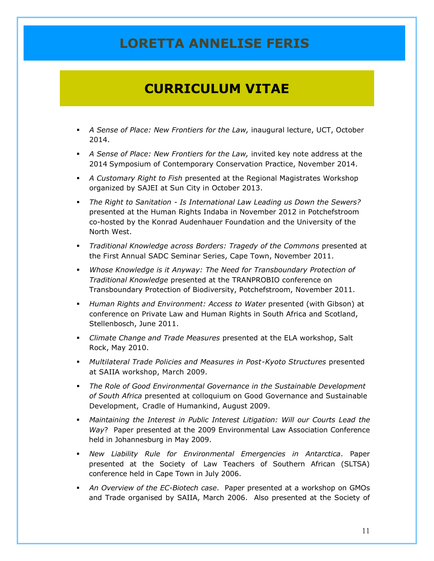- *A Sense of Place: New Frontiers for the Law,* inaugural lecture, UCT, October 2014.
- *A Sense of Place: New Frontiers for the Law,* invited key note address at the 2014 Symposium of Contemporary Conservation Practice, November 2014.
- *A Customary Right to Fish* presented at the Regional Magistrates Workshop organized by SAJEI at Sun City in October 2013.
- *The Right to Sanitation - Is International Law Leading us Down the Sewers?* presented at the Human Rights Indaba in November 2012 in Potchefstroom co-hosted by the Konrad Audenhauer Foundation and the University of the North West.
- *Traditional Knowledge across Borders: Tragedy of the Commons* presented at the First Annual SADC Seminar Series, Cape Town, November 2011.
- *Whose Knowledge is it Anyway: The Need for Transboundary Protection of Traditional Knowledge* presented at the TRANPROBIO conference on Transboundary Protection of Biodiversity, Potchefstroom, November 2011.
- *Human Rights and Environment: Access to Water* presented (with Gibson) at conference on Private Law and Human Rights in South Africa and Scotland, Stellenbosch, June 2011.
- *Climate Change and Trade Measures* presented at the ELA workshop, Salt Rock, May 2010.
- *Multilateral Trade Policies and Measures in Post-Kyoto Structures* presented at SAIIA workshop, March 2009*.*
- *The Role of Good Environmental Governance in the Sustainable Development of South Africa* presented at colloquium on Good Governance and Sustainable Development, Cradle of Humankind, August 2009.
- *Maintaining the Interest in Public Interest Litigation: Will our Courts Lead the Way*? Paper presented at the 2009 Environmental Law Association Conference held in Johannesburg in May 2009.
- *New Liability Rule for Environmental Emergencies in Antarctica*. Paper presented at the Society of Law Teachers of Southern African (SLTSA) conference held in Cape Town in July 2006.
- *An Overview of the EC-Biotech case*. Paper presented at a workshop on GMOs and Trade organised by SAIIA, March 2006. Also presented at the Society of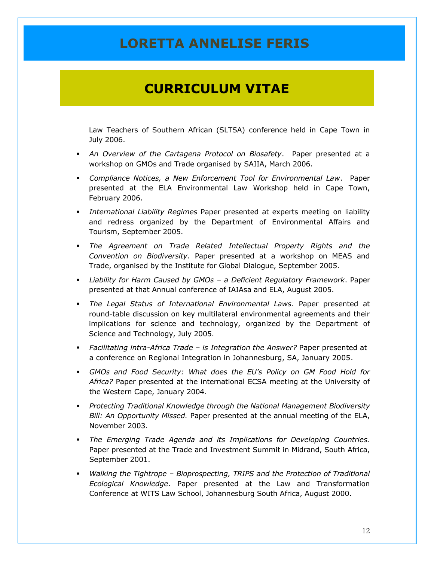## **CURRICULUM VITAE**

Law Teachers of Southern African (SLTSA) conference held in Cape Town in July 2006.

- *An Overview of the Cartagena Protocol on Biosafety*. Paper presented at a workshop on GMOs and Trade organised by SAIIA, March 2006.
- *Compliance Notices, a New Enforcement Tool for Environmental Law*. Paper presented at the ELA Environmental Law Workshop held in Cape Town, February 2006.
- *International Liability Regimes* Paper presented at experts meeting on liability and redress organized by the Department of Environmental Affairs and Tourism, September 2005.
- *The Agreement on Trade Related Intellectual Property Rights and the Convention on Biodiversity*. Paper presented at a workshop on MEAS and Trade, organised by the Institute for Global Dialogue, September 2005.
- *Liability for Harm Caused by GMOs – a Deficient Regulatory Framework*. Paper presented at that Annual conference of IAIAsa and ELA, August 2005.
- *The Legal Status of International Environmental Laws.* Paper presented at round-table discussion on key multilateral environmental agreements and their implications for science and technology, organized by the Department of Science and Technology, July 2005.
- *Facilitating intra-Africa Trade – is Integration the Answer?* Paper presented at a conference on Regional Integration in Johannesburg, SA, January 2005.
- *GMOs and Food Security: What does the EU's Policy on GM Food Hold for Africa?* Paper presented at the international ECSA meeting at the University of the Western Cape, January 2004.
- *Protecting Traditional Knowledge through the National Management Biodiversity Bill: An Opportunity Missed.* Paper presented at the annual meeting of the ELA, November 2003.
- *The Emerging Trade Agenda and its Implications for Developing Countries.* Paper presented at the Trade and Investment Summit in Midrand, South Africa, September 2001.
- *Walking the Tightrope – Bioprospecting, TRIPS and the Protection of Traditional Ecological Knowledge*. Paper presented at the Law and Transformation Conference at WITS Law School, Johannesburg South Africa, August 2000.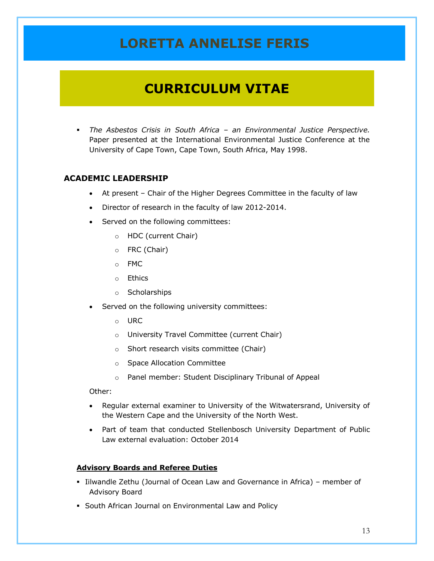## **CURRICULUM VITAE**

 *The Asbestos Crisis in South Africa – an Environmental Justice Perspective.* Paper presented at the International Environmental Justice Conference at the University of Cape Town, Cape Town, South Africa, May 1998.

## **ACADEMIC LEADERSHIP**

- At present Chair of the Higher Degrees Committee in the faculty of law
- Director of research in the faculty of law 2012-2014.
- Served on the following committees:
	- o HDC (current Chair)
	- o FRC (Chair)
	- o FMC
	- o Ethics
	- o Scholarships
- Served on the following university committees:
	- o URC
	- o University Travel Committee (current Chair)
	- o Short research visits committee (Chair)
	- o Space Allocation Committee
	- o Panel member: Student Disciplinary Tribunal of Appeal

Other:

- Regular external examiner to University of the Witwatersrand, University of the Western Cape and the University of the North West.
- Part of team that conducted Stellenbosch University Department of Public Law external evaluation: October 2014

#### **Advisory Boards and Referee Duties**

- Iilwandle Zethu (Journal of Ocean Law and Governance in Africa) member of Advisory Board
- South African Journal on Environmental Law and Policy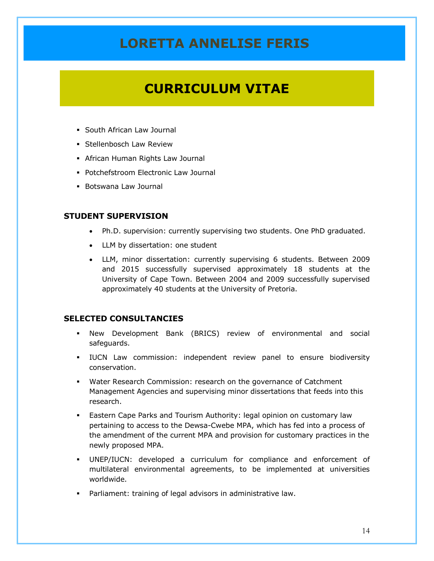# **CURRICULUM VITAE**

- South African Law Journal
- **Stellenbosch Law Review**
- African Human Rights Law Journal
- Potchefstroom Electronic Law Journal
- Botswana Law Journal

### **STUDENT SUPERVISION**

- Ph.D. supervision: currently supervising two students. One PhD graduated.
- LLM by dissertation: one student
- LLM, minor dissertation: currently supervising 6 students. Between 2009 and 2015 successfully supervised approximately 18 students at the University of Cape Town. Between 2004 and 2009 successfully supervised approximately 40 students at the University of Pretoria.

### **SELECTED CONSULTANCIES**

- New Development Bank (BRICS) review of environmental and social safeguards.
- IUCN Law commission: independent review panel to ensure biodiversity conservation.
- Water Research Commission: research on the governance of Catchment Management Agencies and supervising minor dissertations that feeds into this research.
- Eastern Cape Parks and Tourism Authority: legal opinion on customary law pertaining to access to the Dewsa-Cwebe MPA, which has fed into a process of the amendment of the current MPA and provision for customary practices in the newly proposed MPA.
- UNEP/IUCN: developed a curriculum for compliance and enforcement of multilateral environmental agreements, to be implemented at universities worldwide.
- Parliament: training of legal advisors in administrative law.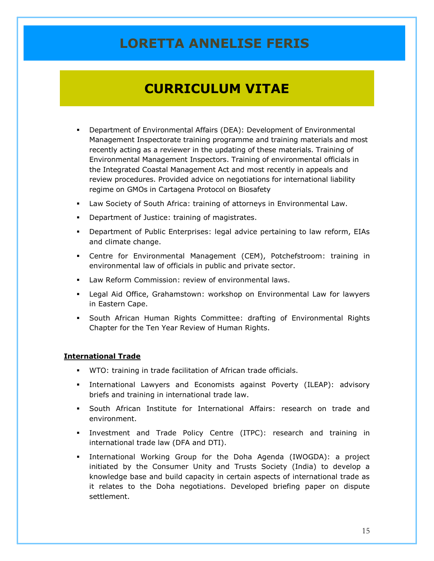## **CURRICULUM VITAE**

- Department of Environmental Affairs (DEA): Development of Environmental Management Inspectorate training programme and training materials and most recently acting as a reviewer in the updating of these materials. Training of Environmental Management Inspectors. Training of environmental officials in the Integrated Coastal Management Act and most recently in appeals and review procedures. Provided advice on negotiations for international liability regime on GMOs in Cartagena Protocol on Biosafety
- Law Society of South Africa: training of attorneys in Environmental Law.
- **•** Department of Justice: training of magistrates.
- Department of Public Enterprises: legal advice pertaining to law reform, EIAs and climate change.
- Centre for Environmental Management (CEM), Potchefstroom: training in environmental law of officials in public and private sector.
- Law Reform Commission: review of environmental laws.
- Legal Aid Office, Grahamstown: workshop on Environmental Law for lawyers in Eastern Cape.
- South African Human Rights Committee: drafting of Environmental Rights Chapter for the Ten Year Review of Human Rights.

### **International Trade**

- WTO: training in trade facilitation of African trade officials.
- International Lawyers and Economists against Poverty (ILEAP): advisory briefs and training in international trade law.
- South African Institute for International Affairs: research on trade and environment.
- Investment and Trade Policy Centre (ITPC): research and training in international trade law (DFA and DTI).
- International Working Group for the Doha Agenda (IWOGDA): a project initiated by the Consumer Unity and Trusts Society (India) to develop a knowledge base and build capacity in certain aspects of international trade as it relates to the Doha negotiations. Developed briefing paper on dispute settlement.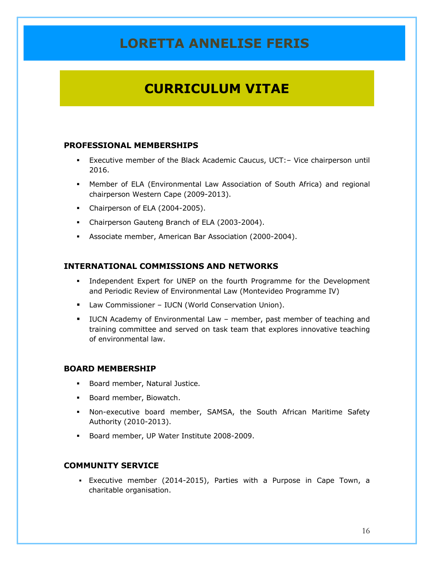# **CURRICULUM VITAE**

## **PROFESSIONAL MEMBERSHIPS**

- Executive member of the Black Academic Caucus, UCT:– Vice chairperson until 2016.
- Member of ELA (Environmental Law Association of South Africa) and regional chairperson Western Cape (2009-2013).
- Chairperson of ELA (2004-2005).
- Chairperson Gauteng Branch of ELA (2003-2004).
- Associate member, American Bar Association (2000-2004).

## **INTERNATIONAL COMMISSIONS AND NETWORKS**

- Independent Expert for UNEP on the fourth Programme for the Development and Periodic Review of Environmental Law (Montevideo Programme IV)
- **Law Commissioner IUCN (World Conservation Union).**
- IUCN Academy of Environmental Law member, past member of teaching and training committee and served on task team that explores innovative teaching of environmental law.

## **BOARD MEMBERSHIP**

- **Board member, Natural Justice.**
- Board member, Biowatch.
- Non-executive board member, SAMSA, the South African Maritime Safety Authority (2010-2013).
- Board member, UP Water Institute 2008-2009.

## **COMMUNITY SERVICE**

 Executive member (2014-2015), Parties with a Purpose in Cape Town, a charitable organisation.